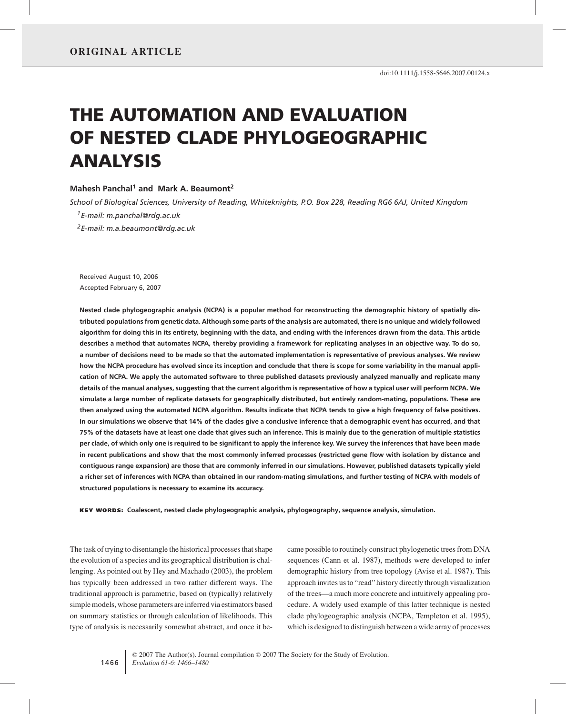# THE AUTOMATION AND EVALUATION OF NESTED CLADE PHYLOGEOGRAPHIC ANALYSIS

### **Mahesh Panchal<sup>1</sup> and Mark A. Beaumont<sup>2</sup>**

School of Biological Sciences, University of Reading, Whiteknights, P.O. Box 228, Reading RG6 6AJ, United Kingdom *1E-mail: m.panchal@rdg.ac.uk*

*2E-mail: m.a.beaumont@rdg.ac.uk*

Received August 10, 2006 Accepted February 6, 2007

Nested clade phylogeographic analysis (NCPA) is a popular method for reconstructing the demographic history of spatially distributed populations from genetic data. Although some parts of the analysis are automated, there is no unique and widely followed algorithm for doing this in its entirety, beginning with the data, and ending with the inferences drawn from the data. This article describes a method that automates NCPA, thereby providing a framework for replicating analyses in an objective way. To do so, a number of decisions need to be made so that the automated implementation is representative of previous analyses. We review how the NCPA procedure has evolved since its inception and conclude that there is scope for some variability in the manual application of NCPA. We apply the automated software to three published datasets previously analyzed manually and replicate many details of the manual analyses, suggesting that the current algorithm is representative of how a typical user will perform NCPA. We simulate a large number of replicate datasets for geographically distributed, but entirely random-mating, populations. These are then analyzed using the automated NCPA algorithm. Results indicate that NCPA tends to give a high frequency of false positives. In our simulations we observe that 14% of the clades give a conclusive inference that a demographic event has occurred, and that 75% of the datasets have at least one clade that gives such an inference. This is mainly due to the generation of multiple statistics per clade, of which only one is required to be significant to apply the inference key. We survey the inferences that have been made in recent publications and show that the most commonly inferred processes (restricted gene flow with isolation by distance and contiguous range expansion) are those that are commonly inferred in our simulations. However, published datasets typically yield a richer set of inferences with NCPA than obtained in our random-mating simulations, and further testing of NCPA with models of **structured populations is necessary to examine its accuracy.**

KEY WORDS: **Coalescent, nested clade phylogeographic analysis, phylogeography, sequence analysis, simulation.**

The task of trying to disentangle the historical processes that shape the evolution of a species and its geographical distribution is challenging. As pointed out by Hey and Machado (2003), the problem has typically been addressed in two rather different ways. The traditional approach is parametric, based on (typically) relatively simple models, whose parameters are inferred via estimators based on summary statistics or through calculation of likelihoods. This type of analysis is necessarily somewhat abstract, and once it became possible to routinely construct phylogenetic treesfrom DNA sequences (Cann et al. 1987), methods were developed to infer demographic history from tree topology (Avise et al. 1987). This approach invites usto "read" history directly through visualization of the trees—a much more concrete and intuitively appealing procedure. A widely used example of this latter technique is nested clade phylogeographic analysis (NCPA, Templeton et al. 1995), which is designed to distinguish between a wide array of processes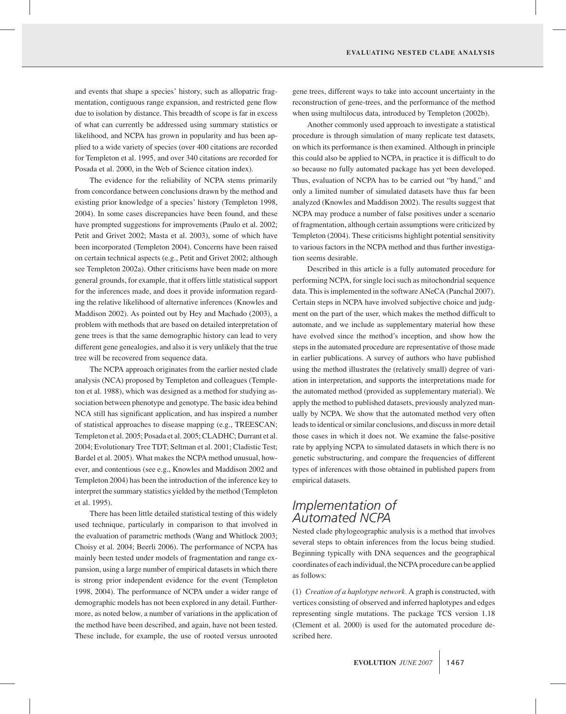and events that shape a species' history, such as allopatric fragmentation, contiguous range expansion, and restricted gene flow due to isolation by distance. This breadth of scope is far in excess of what can currently be addressed using summary statistics or likelihood, and NCPA has grown in popularity and has been applied to a wide variety of species (over 400 citations are recorded for Templeton et al. 1995, and over 340 citations are recorded for Posada et al. 2000, in the Web of Science citation index).

The evidence for the reliability of NCPA stems primarily from concordance between conclusions drawn by the method and existing prior knowledge of a species' history (Templeton 1998, 2004). In some cases discrepancies have been found, and these have prompted suggestions for improvements (Paulo et al. 2002; Petit and Grivet 2002; Masta et al. 2003), some of which have been incorporated (Templeton 2004). Concerns have been raised on certain technical aspects (e.g., Petit and Grivet 2002; although see Templeton 2002a). Other criticisms have been made on more general grounds, for example, that it offers little statistical support for the inferences made, and does it provide information regarding the relative likelihood of alternative inferences (Knowles and Maddison 2002). As pointed out by Hey and Machado (2003), a problem with methods that are based on detailed interpretation of gene trees is that the same demographic history can lead to very different gene genealogies, and also it is very unlikely that the true tree will be recovered from sequence data.

The NCPA approach originates from the earlier nested clade analysis (NCA) proposed by Templeton and colleagues (Templeton et al. 1988), which was designed as a method for studying association between phenotype and genotype. The basic idea behind NCA still has significant application, and has inspired a number of statistical approaches to disease mapping (e.g., TREESCAN; Templeton et al. 2005; Posada et al. 2005; CLADHC; Durrant et al. 2004; Evolutionary Tree TDT; Seltman et al. 2001; Cladistic Test; Bardel et al. 2005). What makes the NCPA method unusual, however, and contentious (see e.g., Knowles and Maddison 2002 and Templeton 2004) has been the introduction of the inference key to interpret the summary statistics yielded by the method (Templeton et al. 1995).

There has been little detailed statistical testing of this widely used technique, particularly in comparison to that involved in the evaluation of parametric methods (Wang and Whitlock 2003; Choisy et al. 2004; Beerli 2006). The performance of NCPA has mainly been tested under models of fragmentation and range expansion, using a large number of empirical datasets in which there is strong prior independent evidence for the event (Templeton 1998, 2004). The performance of NCPA under a wider range of demographic models has not been explored in any detail. Furthermore, as noted below, a number of variations in the application of the method have been described, and again, have not been tested. These include, for example, the use of rooted versus unrooted gene trees, different ways to take into account uncertainty in the reconstruction of gene-trees, and the performance of the method when using multilocus data, introduced by Templeton (2002b).

Another commonly used approach to investigate a statistical procedure is through simulation of many replicate test datasets, on which its performance is then examined. Although in principle this could also be applied to NCPA, in practice it is difficult to do so because no fully automated package has yet been developed. Thus, evaluation of NCPA has to be carried out "by hand," and only a limited number of simulated datasets have thus far been analyzed (Knowles and Maddison 2002). The results suggest that NCPA may produce a number of false positives under a scenario of fragmentation, although certain assumptions were criticized by Templeton (2004). These criticisms highlight potential sensitivity to various factors in the NCPA method and thus further investigation seems desirable.

Described in this article is a fully automated procedure for performing NCPA, for single loci such as mitochondrial sequence data. This is implemented in the software ANeCA (Panchal 2007). Certain steps in NCPA have involved subjective choice and judgment on the part of the user, which makes the method difficult to automate, and we include as supplementary material how these have evolved since the method's inception, and show how the steps in the automated procedure are representative of those made in earlier publications. A survey of authors who have published using the method illustrates the (relatively small) degree of variation in interpretation, and supports the interpretations made for the automated method (provided as supplementary material). We apply the method to published datasets, previously analyzed manually by NCPA. We show that the automated method very often leads to identical or similar conclusions, and discuss in more detail those cases in which it does not. We examine the false-positive rate by applying NCPA to simulated datasets in which there is no genetic substructuring, and compare the frequencies of different types of inferences with those obtained in published papers from empirical datasets.

# *Implementation of Automated NCPA*

Nested clade phylogeographic analysis is a method that involves several steps to obtain inferences from the locus being studied. Beginning typically with DNA sequences and the geographical coordinates of each individual, the NCPA procedure can be applied as follows:

(1) *Creation of a haplotype network.* A graph is constructed, with vertices consisting of observed and inferred haplotypes and edges representing single mutations. The package TCS version 1.18 (Clement et al. 2000) is used for the automated procedure described here.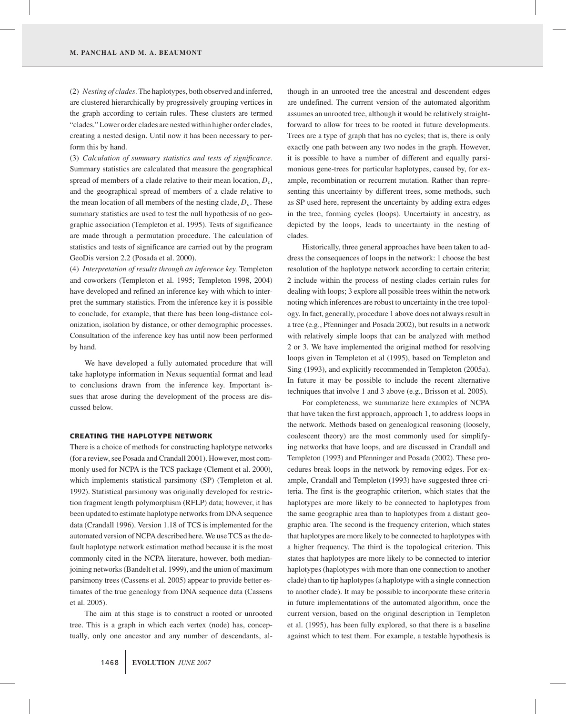(2) *Nesting of clades.* The haplotypes, both observed and inferred, are clustered hierarchically by progressively grouping vertices in the graph according to certain rules. These clusters are termed "clades."Lower order clades are nested within higher order clades, creating a nested design. Until now it has been necessary to perform this by hand.

(3) *Calculation of summary statistics and tests of significance.* Summary statistics are calculated that measure the geographical spread of members of a clade relative to their mean location, *Dc*, and the geographical spread of members of a clade relative to the mean location of all members of the nesting clade, *Dn*. These summary statistics are used to test the null hypothesis of no geographic association (Templeton et al. 1995). Tests of significance are made through a permutation procedure. The calculation of statistics and tests of significance are carried out by the program GeoDis version 2.2 (Posada et al. 2000).

(4) *Interpretation of results through an inference key.* Templeton and coworkers (Templeton et al. 1995; Templeton 1998, 2004) have developed and refined an inference key with which to interpret the summary statistics. From the inference key it is possible to conclude, for example, that there has been long-distance colonization, isolation by distance, or other demographic processes. Consultation of the inference key has until now been performed by hand.

We have developed a fully automated procedure that will take haplotype information in Nexus sequential format and lead to conclusions drawn from the inference key. Important issues that arose during the development of the process are discussed below.

### CREATING THE HAPLOTYPE NETWORK

There is a choice of methods for constructing haplotype networks (for a review, see Posada and Crandall 2001). However, most commonly used for NCPA is the TCS package (Clement et al. 2000), which implements statistical parsimony (SP) (Templeton et al. 1992). Statistical parsimony was originally developed for restriction fragment length polymorphism (RFLP) data; however, it has been updated to estimate haplotype networks from DNA sequence data (Crandall 1996). Version 1.18 of TCS is implemented for the automated version of NCPA described here. We use TCS asthe default haplotype network estimation method because it is the most commonly cited in the NCPA literature, however, both medianjoining networks(Bandelt et al. 1999), and the union of maximum parsimony trees (Cassens et al. 2005) appear to provide better estimates of the true genealogy from DNA sequence data (Cassens et al. 2005).

The aim at this stage is to construct a rooted or unrooted tree. This is a graph in which each vertex (node) has, conceptually, only one ancestor and any number of descendants, although in an unrooted tree the ancestral and descendent edges are undefined. The current version of the automated algorithm assumes an unrooted tree, although it would be relatively straightforward to allow for trees to be rooted in future developments. Trees are a type of graph that has no cycles; that is, there is only exactly one path between any two nodes in the graph. However, it is possible to have a number of different and equally parsimonious gene-trees for particular haplotypes, caused by, for example, recombination or recurrent mutation. Rather than representing this uncertainty by different trees, some methods, such as SP used here, represent the uncertainty by adding extra edges in the tree, forming cycles (loops). Uncertainty in ancestry, as depicted by the loops, leads to uncertainty in the nesting of clades.

Historically, three general approaches have been taken to address the consequences of loops in the network: 1 choose the best resolution of the haplotype network according to certain criteria; 2 include within the process of nesting clades certain rules for dealing with loops; 3 explore all possible trees within the network noting which inferences are robust to uncertainty in the tree topology. In fact, generally, procedure 1 above does not always result in a tree (e.g., Pfenninger and Posada 2002), but results in a network with relatively simple loops that can be analyzed with method 2 or 3. We have implemented the original method for resolving loops given in Templeton et al (1995), based on Templeton and Sing (1993), and explicitly recommended in Templeton (2005a). In future it may be possible to include the recent alternative techniques that involve 1 and 3 above (e.g., Brisson et al. 2005).

For completeness, we summarize here examples of NCPA that have taken the first approach, approach 1, to address loops in the network. Methods based on genealogical reasoning (loosely, coalescent theory) are the most commonly used for simplifying networks that have loops, and are discussed in Crandall and Templeton (1993) and Pfenninger and Posada (2002). These procedures break loops in the network by removing edges. For example, Crandall and Templeton (1993) have suggested three criteria. The first is the geographic criterion, which states that the haplotypes are more likely to be connected to haplotypes from the same geographic area than to haplotypes from a distant geographic area. The second is the frequency criterion, which states that haplotypes are more likely to be connected to haplotypes with a higher frequency. The third is the topological criterion. This states that haplotypes are more likely to be connected to interior haplotypes (haplotypes with more than one connection to another clade) than to tip haplotypes(a haplotype with a single connection to another clade). It may be possible to incorporate these criteria in future implementations of the automated algorithm, once the current version, based on the original description in Templeton et al. (1995), has been fully explored, so that there is a baseline against which to test them. For example, a testable hypothesis is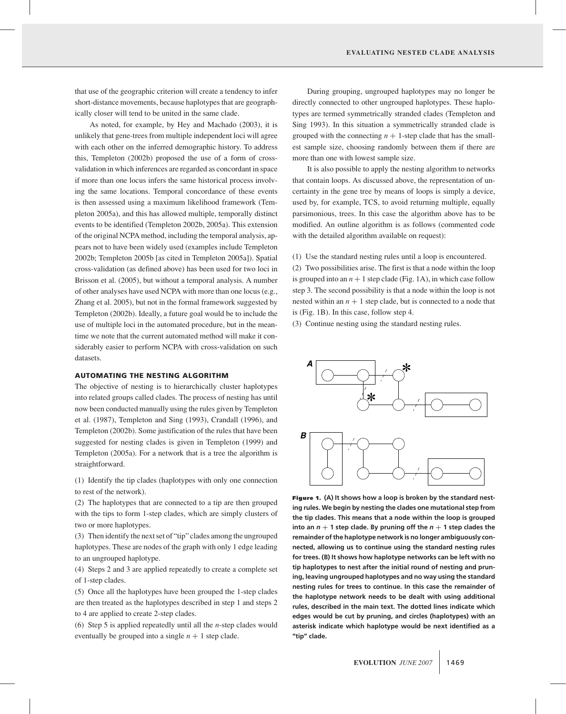that use of the geographic criterion will create a tendency to infer short-distance movements, because haplotypes that are geographically closer will tend to be united in the same clade.

As noted, for example, by Hey and Machado (2003), it is unlikely that gene-trees from multiple independent loci will agree with each other on the inferred demographic history. To address this, Templeton (2002b) proposed the use of a form of crossvalidation in which inferences are regarded as concordant in space if more than one locus infers the same historical process involving the same locations. Temporal concordance of these events is then assessed using a maximum likelihood framework (Templeton 2005a), and this has allowed multiple, temporally distinct events to be identified (Templeton 2002b, 2005a). This extension of the original NCPA method, including the temporal analysis, appears not to have been widely used (examples include Templeton 2002b; Templeton 2005b [as cited in Templeton 2005a]). Spatial cross-validation (as defined above) has been used for two loci in Brisson et al. (2005), but without a temporal analysis. A number of other analyses have used NCPA with more than one locus (e.g., Zhang et al. 2005), but not in the formal framework suggested by Templeton (2002b). Ideally, a future goal would be to include the use of multiple loci in the automated procedure, but in the meantime we note that the current automated method will make it considerably easier to perform NCPA with cross-validation on such datasets.

### AUTOMATING THE NESTING ALGORITHM

The objective of nesting is to hierarchically cluster haplotypes into related groups called clades. The process of nesting has until now been conducted manually using the rules given by Templeton et al. (1987), Templeton and Sing (1993), Crandall (1996), and Templeton (2002b). Some justification of the rules that have been suggested for nesting clades is given in Templeton (1999) and Templeton (2005a). For a network that is a tree the algorithm is straightforward.

(1) Identify the tip clades (haplotypes with only one connection to rest of the network).

(2) The haplotypes that are connected to a tip are then grouped with the tips to form 1-step clades, which are simply clusters of two or more haplotypes.

(3) Then identify the nextset of "tip" clades among the ungrouped haplotypes. These are nodes of the graph with only 1 edge leading to an ungrouped haplotype.

(4) Steps 2 and 3 are applied repeatedly to create a complete set of 1-step clades.

(5) Once all the haplotypes have been grouped the 1-step clades are then treated as the haplotypes described in step 1 and steps 2 to 4 are applied to create 2-step clades.

(6) Step 5 is applied repeatedly until all the *n*-step clades would eventually be grouped into a single  $n + 1$  step clade.

During grouping, ungrouped haplotypes may no longer be directly connected to other ungrouped haplotypes. These haplotypes are termed symmetrically stranded clades (Templeton and Sing 1993). In this situation a symmetrically stranded clade is grouped with the connecting  $n + 1$ -step clade that has the smallest sample size, choosing randomly between them if there are more than one with lowest sample size.

It is also possible to apply the nesting algorithm to networks that contain loops. As discussed above, the representation of uncertainty in the gene tree by means of loops is simply a device, used by, for example, TCS, to avoid returning multiple, equally parsimonious, trees. In this case the algorithm above has to be modified. An outline algorithm is as follows (commented code with the detailed algorithm available on request):

(1) Use the standard nesting rules until a loop is encountered.

(2) Two possibilities arise. The first is that a node within the loop is grouped into an  $n + 1$  step clade (Fig. 1A), in which case follow step 3. The second possibility is that a node within the loop is not nested within an  $n + 1$  step clade, but is connected to a node that is (Fig. 1B). In this case, follow step 4.

(3) Continue nesting using the standard nesting rules.



Figure 1. **(A) It shows how a loop is broken by the standard nesting rules. We begin by nesting the clades one mutational step from the tip clades. This means that a node within the loop is grouped into** an  $n + 1$  **step clade.** By pruning off the  $n + 1$  **step clades** the **remainder ofthe haplotype network is no longer ambiguously connected, allowing us to continue using the standard nesting rules for trees. (B) It shows how haplotype networks can be left with no tip haplotypes to nest after the initial round of nesting and pruning, leaving ungrouped haplotypes and no way using the standard nesting rules for trees to continue. In this case the remainder of the haplotype network needs to be dealt with using additional rules, described in the main text. The dotted lines indicate which edges would be cut by pruning, and circles (haplotypes) with an asterisk indicate which haplotype would be next identified as a "tip" clade.**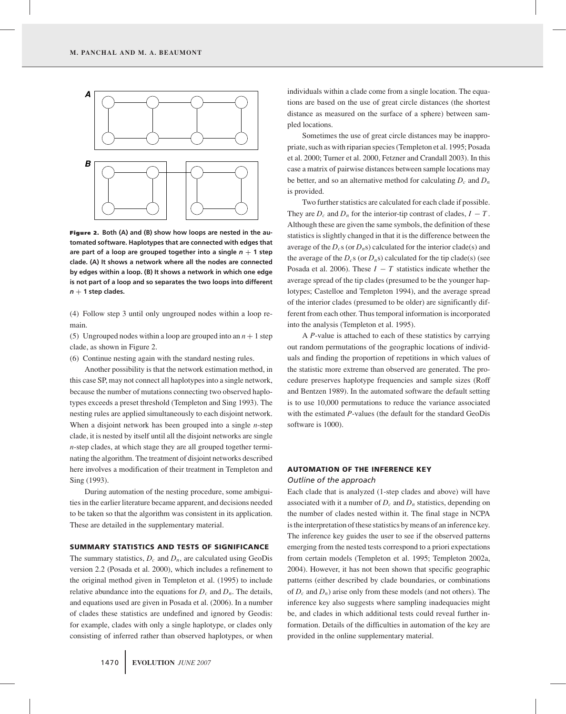

Figure 2. **Both (A) and (B) show how loops are nested in the automated software. Haplotypes that are connected with edges that are part of a loop are grouped together into a single** *n* + **1 step clade. (A) It shows a network where all the nodes are connected by edges within a loop. (B) It shows a network in which one edge is not part of a loop and so separates the two loops into different** *n* + **1 step clades.**

(4) Follow step 3 until only ungrouped nodes within a loop remain.

(5) Ungrouped nodes within a loop are grouped into an  $n + 1$  step clade, as shown in Figure 2.

(6) Continue nesting again with the standard nesting rules.

Another possibility is that the network estimation method, in this case SP, may not connect all haplotypesinto a single network, because the number of mutations connecting two observed haplotypes exceeds a preset threshold (Templeton and Sing 1993). The nesting rules are applied simultaneously to each disjoint network. When a disjoint network has been grouped into a single *n*-step clade, it is nested by itself until all the disjoint networks are single *n*-step clades, at which stage they are all grouped together terminating the algorithm. The treatment of disjoint networks described here involves a modification of their treatment in Templeton and Sing (1993).

During automation of the nesting procedure, some ambiguities in the earlier literature became apparent, and decisions needed to be taken so that the algorithm was consistent in its application. These are detailed in the supplementary material.

### SUMMARY STATISTICS AND TESTS OF SIGNIFICANCE

The summary statistics,  $D_c$  and  $D_n$ , are calculated using GeoDis version 2.2 (Posada et al. 2000), which includes a refinement to the original method given in Templeton et al. (1995) to include relative abundance into the equations for  $D_c$  and  $D_n$ . The details, and equations used are given in Posada et al. (2006). In a number of clades these statistics are undefined and ignored by Geodis: for example, clades with only a single haplotype, or clades only consisting of inferred rather than observed haplotypes, or when

individuals within a clade come from a single location. The equations are based on the use of great circle distances (the shortest distance as measured on the surface of a sphere) between sampled locations.

Sometimes the use of great circle distances may be inappropriate, such as with riparian species (Templeton et al. 1995; Posada et al. 2000; Turner et al. 2000, Fetzner and Crandall 2003). In this case a matrix of pairwise distances between sample locations may be better, and so an alternative method for calculating  $D_c$  and  $D_n$ is provided.

Two further statistics are calculated for each clade if possible. They are  $D_c$  and  $D_n$  for the interior-tip contrast of clades,  $I - T$ . Although these are given the same symbols, the definition of these statistics is slightly changed in that it is the difference between the average of the  $D_c$ s (or  $D_n$ s) calculated for the interior clade(s) and the average of the  $D_c$ s (or  $D_n$ s) calculated for the tip clade(s) (see Posada et al. 2006). These  $I - T$  statistics indicate whether the average spread of the tip clades (presumed to be the younger haplotypes; Castelloe and Templeton 1994), and the average spread of the interior clades (presumed to be older) are significantly different from each other. Thus temporal information is incorporated into the analysis (Templeton et al. 1995).

A *P*-value is attached to each of these statistics by carrying out random permutations of the geographic locations of individuals and finding the proportion of repetitions in which values of the statistic more extreme than observed are generated. The procedure preserves haplotype frequencies and sample sizes (Roff and Bentzen 1989). In the automated software the default setting is to use 10,000 permutations to reduce the variance associated with the estimated *P*-values (the default for the standard GeoDis software is 1000).

### AUTOMATION OF THE INFERENCE KEY

### *Outline of the approach*

Each clade that is analyzed (1-step clades and above) will have associated with it a number of  $D_c$  and  $D_n$  statistics, depending on the number of clades nested within it. The final stage in NCPA is the interpretation of these statistics by means of an inference key. The inference key guides the user to see if the observed patterns emerging from the nested tests correspond to a priori expectations from certain models (Templeton et al. 1995; Templeton 2002a, 2004). However, it has not been shown that specific geographic patterns (either described by clade boundaries, or combinations of  $D_c$  and  $D_n$ ) arise only from these models (and not others). The inference key also suggests where sampling inadequacies might be, and clades in which additional tests could reveal further information. Details of the difficulties in automation of the key are provided in the online supplementary material.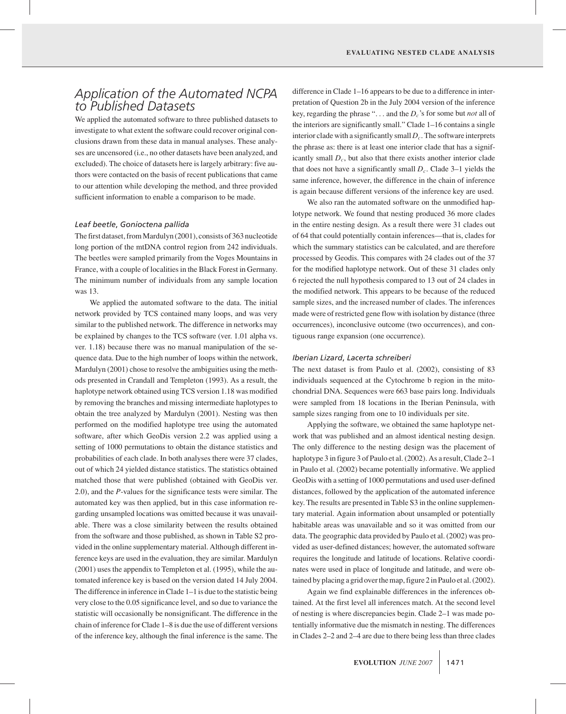# *Application of the Automated NCPA to Published Datasets*

We applied the automated software to three published datasets to investigate to what extent the software could recover original conclusions drawn from these data in manual analyses. These analyses are uncensored (i.e., no other datasets have been analyzed, and excluded). The choice of datasets here islargely arbitrary: five authors were contacted on the basis of recent publications that came to our attention while developing the method, and three provided sufficient information to enable a comparison to be made.

### *Leaf beetle*, *Gonioctena pallida*

The first dataset, from Mardulyn (2001), consists of 363 nucleotide long portion of the mtDNA control region from 242 individuals. The beetles were sampled primarily from the Voges Mountains in France, with a couple of localities in the Black Forest in Germany. The minimum number of individuals from any sample location was 13.

We applied the automated software to the data. The initial network provided by TCS contained many loops, and was very similar to the published network. The difference in networks may be explained by changes to the TCS software (ver. 1.01 alpha vs. ver. 1.18) because there was no manual manipulation of the sequence data. Due to the high number of loops within the network, Mardulyn (2001) chose to resolve the ambiguities using the methods presented in Crandall and Templeton (1993). As a result, the haplotype network obtained using TCS version 1.18 was modified by removing the branches and missing intermediate haplotypes to obtain the tree analyzed by Mardulyn (2001). Nesting was then performed on the modified haplotype tree using the automated software, after which GeoDis version 2.2 was applied using a setting of 1000 permutations to obtain the distance statistics and probabilities of each clade. In both analyses there were 37 clades, out of which 24 yielded distance statistics. The statistics obtained matched those that were published (obtained with GeoDis ver. 2.0), and the *P*-values for the significance tests were similar. The automated key was then applied, but in this case information regarding unsampled locations was omitted because it was unavailable. There was a close similarity between the results obtained from the software and those published, as shown in Table S2 provided in the online supplementary material. Although different inference keys are used in the evaluation, they are similar. Mardulyn (2001) uses the appendix to Templeton et al. (1995), while the automated inference key is based on the version dated 14 July 2004. The difference in inference in Clade  $1-1$  is due to the statistic being very close to the 0.05 significance level, and so due to variance the statistic will occasionally be nonsignificant. The difference in the chain of inference for Clade  $1-8$  is due the use of different versions of the inference key, although the final inference is the same. The difference in Clade 1–16 appears to be due to a difference in interpretation of Question 2b in the July 2004 version of the inference key, regarding the phrase ". . . and the *Dc*'s for some but *not* all of the interiors are significantly small." Clade 1–16 contains a single interior clade with a significantly small  $D<sub>c</sub>$ . The software interprets the phrase as: there is at least one interior clade that has a significantly small  $D<sub>c</sub>$ , but also that there exists another interior clade that does not have a significantly small  $D<sub>c</sub>$ . Clade 3–1 yields the same inference, however, the difference in the chain of inference is again because different versions of the inference key are used.

We also ran the automated software on the unmodified haplotype network. We found that nesting produced 36 more clades in the entire nesting design. As a result there were 31 clades out of 64 that could potentially contain inferences—that is, clades for which the summary statistics can be calculated, and are therefore processed by Geodis. This compares with 24 clades out of the 37 for the modified haplotype network. Out of these 31 clades only 6 rejected the null hypothesis compared to 13 out of 24 clades in the modified network. This appears to be because of the reduced sample sizes, and the increased number of clades. The inferences made were of restricted gene flow with isolation by distance (three occurrences), inconclusive outcome (two occurrences), and contiguous range expansion (one occurrence).

### *Iberian Lizard*, *Lacerta schreiberi*

The next dataset is from Paulo et al. (2002), consisting of 83 individuals sequenced at the Cytochrome b region in the mitochondrial DNA. Sequences were 663 base pairs long. Individuals were sampled from 18 locations in the Iberian Peninsula, with sample sizes ranging from one to 10 individuals per site.

Applying the software, we obtained the same haplotype network that was published and an almost identical nesting design. The only difference to the nesting design was the placement of haplotype 3 in figure 3 of Paulo et al. (2002). As a result, Clade 2–1 in Paulo et al. (2002) became potentially informative. We applied GeoDis with a setting of 1000 permutations and used user-defined distances, followed by the application of the automated inference key. The results are presented in Table S3 in the online supplementary material. Again information about unsampled or potentially habitable areas was unavailable and so it was omitted from our data. The geographic data provided by Paulo et al. (2002) was provided as user-defined distances; however, the automated software requires the longitude and latitude of locations. Relative coordinates were used in place of longitude and latitude, and were obtained by placing a grid over the map, figure 2 in Paulo et al. (2002).

Again we find explainable differences in the inferences obtained. At the first level all inferences match. At the second level of nesting is where discrepancies begin. Clade 2–1 was made potentially informative due the mismatch in nesting. The differences in Clades 2–2 and 2–4 are due to there being less than three clades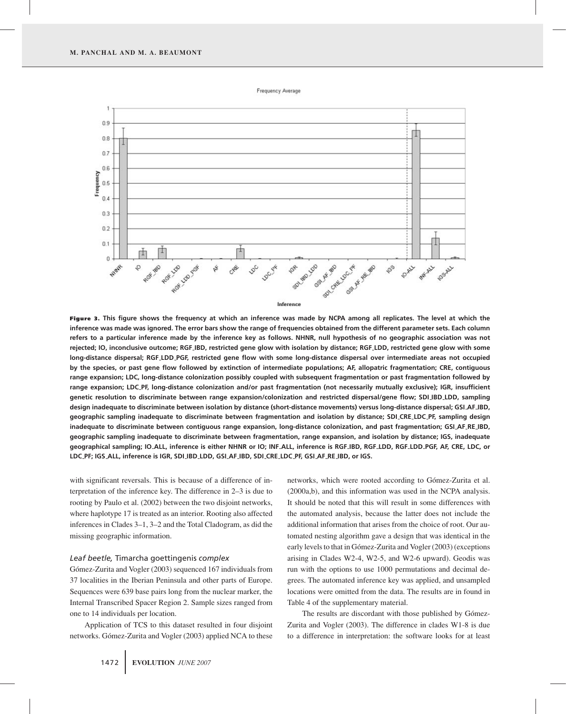Frequency Average



Figure 3. This figure shows the frequency at which an inference was made by NCPA among all replicates. The level at which the inference was made was ignored. The error bars show the range of frequencies obtained from the different parameter sets. Each column refers to a particular inference made by the inference key as follows. NHNR, null hypothesis of no geographic association was not rejected; IO, inconclusive outcome; RGF\_IBD, restricted gene glow with isolation by distance; RGF\_LDD, restricted gene glow with some long-distance dispersal; RGF\_LDD\_PGF, restricted gene flow with some long-distance dispersal over intermediate areas not occupied by the species, or past gene flow followed by extinction of intermediate populations; AF, allopatric fragmentation; CRE, contiquous range expansion; LDC, long-distance colonization possibly coupled with subsequent fragmentation or past fragmentation followed by range expansion; LDC\_PF, long-distance colonization and/or past fragmentation (not necessarily mutually exclusive); IGR, insufficient genetic resolution to discriminate between range expansion/colonization and restricted dispersal/gene flow; SDI\_IBD\_LDD, sampling design inadequate to discriminate between isolation by distance (short-distance movements) versus long-distance dispersal; GSI\_AF\_IBD, geographic sampling inadequate to discriminate between fragmentation and isolation by distance; SDI\_CRE\_LDC\_PF, sampling design inadequate to discriminate between contiquous range expansion, long-distance colonization, and past fragmentation; GSI\_AF\_RE\_IBD, geographic sampling inadequate to discriminate between fragmentation, range expansion, and isolation by distance; IGS, inadequate geographical sampling; IO\_ALL, inference is either NHNR or IO; INF\_ALL, inference is RGF\_IBD, RGF\_LDD, RGF\_LDD\_PGF, AF, CRE, LDC, or LDC\_PF; IGS\_ALL, inference is IGR, SDI\_IBD\_LDD, GSI\_AF\_IBD, SDI\_CRE\_LDC\_PF, GSI\_AF\_RE\_IBD, or IGS.

with significant reversals. This is because of a difference of interpretation of the inference key. The difference in 2–3 is due to rooting by Paulo et al. (2002) between the two disjoint networks, where haplotype 17 is treated as an interior. Rooting also affected inferences in Clades 3–1, 3–2 and the Total Cladogram, as did the missing geographic information.

### *Leaf beetle,* Timarcha goettingenis *complex*

Gómez-Zurita and Vogler (2003) sequenced 167 individuals from 37 localities in the Iberian Peninsula and other parts of Europe. Sequences were 639 base pairs long from the nuclear marker, the Internal Transcribed Spacer Region 2. Sample sizes ranged from one to 14 individuals per location.

Application of TCS to this dataset resulted in four disjoint networks. Gómez-Zurita and Vogler (2003) applied NCA to these networks, which were rooted according to Gómez-Zurita et al. (2000a,b), and this information was used in the NCPA analysis. It should be noted that this will result in some differences with the automated analysis, because the latter does not include the additional information that arises from the choice of root. Our automated nesting algorithm gave a design that was identical in the early levels to that in Gómez-Zurita and Vogler (2003) (exceptions arising in Clades W2-4, W2-5, and W2-6 upward). Geodis was run with the options to use 1000 permutations and decimal degrees. The automated inference key was applied, and unsampled locations were omitted from the data. The results are in found in Table 4 of the supplementary material.

The results are discordant with those published by Gómez-Zurita and Vogler (2003). The difference in clades W1-8 is due to a difference in interpretation: the software looks for at least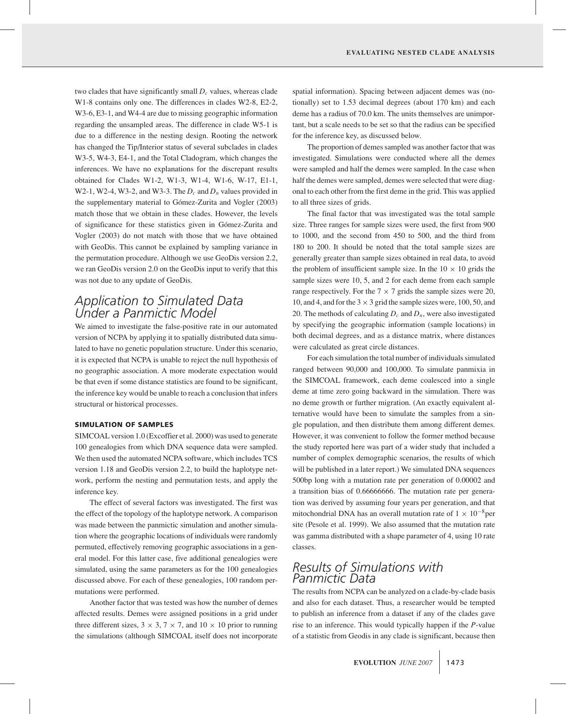two clades that have significantly small  $D<sub>c</sub>$  values, whereas clade W1-8 contains only one. The differences in clades W2-8, E2-2, W<sub>3</sub>-6, E<sub>3</sub>-1, and W<sub>4</sub>-4 are due to missing geographic information regarding the unsampled areas. The difference in clade W5-1 is due to a difference in the nesting design. Rooting the network has changed the Tip/Interior status of several subclades in clades W3-5, W4-3, E4-1, and the Total Cladogram, which changes the inferences. We have no explanations for the discrepant results obtained for Clades W1-2, W1-3, W1-4, W1-6, W-17, E1-1, W2-1, W2-4, W3-2, and W3-3. The  $D_c$  and  $D_n$  values provided in the supplementary material to Gómez-Zurita and Vogler (2003) match those that we obtain in these clades. However, the levels of significance for these statistics given in Gómez-Zurita and Vogler (2003) do not match with those that we have obtained with GeoDis. This cannot be explained by sampling variance in the permutation procedure. Although we use GeoDis version 2.2, we ran GeoDis version 2.0 on the GeoDis input to verify that this was not due to any update of GeoDis.

# *Application to Simulated Data Under a Panmictic Model*

We aimed to investigate the false-positive rate in our automated version of NCPA by applying it to spatially distributed data simulated to have no genetic population structure. Under this scenario, it is expected that NCPA is unable to reject the null hypothesis of no geographic association. A more moderate expectation would be that even if some distance statistics are found to be significant, the inference key would be unable to reach a conclusion that infers structural or historical processes.

### SIMULATION OF SAMPLES

SIMCOAL version 1.0 (Excoffier et al. 2000) was used to generate 100 genealogies from which DNA sequence data were sampled. We then used the automated NCPA software, which includes TCS version 1.18 and GeoDis version 2.2, to build the haplotype network, perform the nesting and permutation tests, and apply the inference key.

The effect of several factors was investigated. The first was the effect of the topology of the haplotype network. A comparison was made between the panmictic simulation and another simulation where the geographic locations of individuals were randomly permuted, effectively removing geographic associations in a general model. For this latter case, five additional genealogies were simulated, using the same parameters as for the 100 genealogies discussed above. For each of these genealogies, 100 random permutations were performed.

Another factor that was tested was how the number of demes affected results. Demes were assigned positions in a grid under three different sizes,  $3 \times 3$ ,  $7 \times 7$ , and  $10 \times 10$  prior to running the simulations (although SIMCOAL itself does not incorporate spatial information). Spacing between adjacent demes was (notionally) set to 1.53 decimal degrees (about 170 km) and each deme has a radius of 70.0 km. The units themselves are unimportant, but a scale needs to be set so that the radius can be specified for the inference key, as discussed below.

The proportion of demes sampled was another factor that was investigated. Simulations were conducted where all the demes were sampled and half the demes were sampled. In the case when half the demes were sampled, demes were selected that were diagonal to each other from the first deme in the grid. This was applied to all three sizes of grids.

The final factor that was investigated was the total sample size. Three ranges for sample sizes were used, the first from 900 to 1000, and the second from 450 to 500, and the third from 180 to 200. It should be noted that the total sample sizes are generally greater than sample sizes obtained in real data, to avoid the problem of insufficient sample size. In the  $10 \times 10$  grids the sample sizes were 10, 5, and 2 for each deme from each sample range respectively. For the  $7 \times 7$  grids the sample sizes were 20, 10, and 4, and for the  $3 \times 3$  grid the sample sizes were, 100, 50, and 20. The methods of calculating  $D_c$  and  $D_n$ , were also investigated by specifying the geographic information (sample locations) in both decimal degrees, and as a distance matrix, where distances were calculated as great circle distances.

For each simulation the total number of individuals simulated ranged between 90,000 and 100,000. To simulate panmixia in the SIMCOAL framework, each deme coalesced into a single deme at time zero going backward in the simulation. There was no deme growth or further migration. (An exactly equivalent alternative would have been to simulate the samples from a single population, and then distribute them among different demes. However, it was convenient to follow the former method because the study reported here was part of a wider study that included a number of complex demographic scenarios, the results of which will be published in a later report.) We simulated DNA sequences 500bp long with a mutation rate per generation of 0.00002 and a transition bias of 0.66666666. The mutation rate per generation was derived by assuming four years per generation, and that mitochondrial DNA has an overall mutation rate of  $1 \times 10^{-8}$ per site (Pesole et al. 1999). We also assumed that the mutation rate was gamma distributed with a shape parameter of 4, using 10 rate classes.

## *Results of Simulations with Panmictic Data*

The results from NCPA can be analyzed on a clade-by-clade basis and also for each dataset. Thus, a researcher would be tempted to publish an inference from a dataset if any of the clades gave rise to an inference. This would typically happen if the *P*-value of a statistic from Geodis in any clade is significant, because then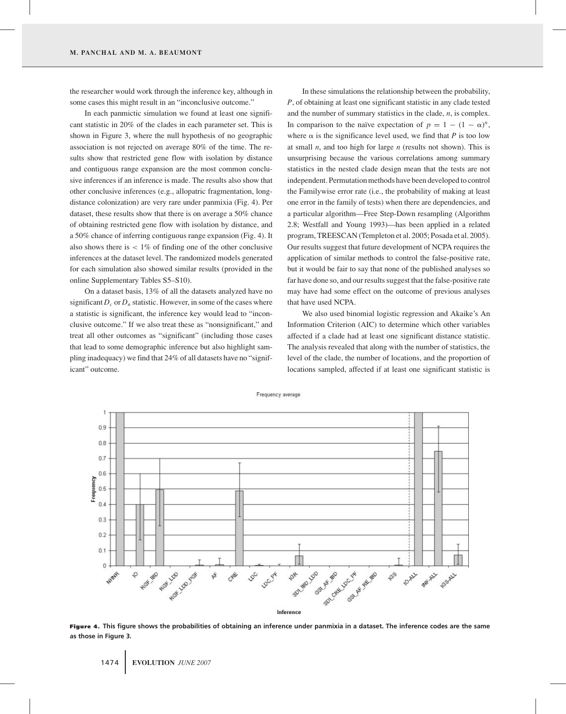the researcher would work through the inference key, although in some cases this might result in an "inconclusive outcome."

In each panmictic simulation we found at least one significant statistic in 20% of the clades in each parameter set. This is shown in Figure 3, where the null hypothesis of no geographic association is not rejected on average 80% of the time. The results show that restricted gene flow with isolation by distance and contiguous range expansion are the most common conclusive inferences if an inference is made. The results also show that other conclusive inferences (e.g., allopatric fragmentation, longdistance colonization) are very rare under panmixia (Fig. 4). Per dataset, these results show that there is on average a 50% chance of obtaining restricted gene flow with isolation by distance, and a 50% chance of inferring contiguous range expansion (Fig. 4). It also shows there is  $\langle 1\% \rangle$  of finding one of the other conclusive inferences at the dataset level. The randomized models generated for each simulation also showed similar results (provided in the online Supplementary Tables S5–S10).

On a dataset basis, 13% of all the datasets analyzed have no significant  $D_c$  or  $D_n$  statistic. However, in some of the cases where a statistic is significant, the inference key would lead to "inconclusive outcome." If we also treat these as "nonsignificant," and treat all other outcomes as "significant" (including those cases that lead to some demographic inference but also highlight sampling inadequacy) we find that 24% of all datasets have no "significant" outcome.

In these simulations the relationship between the probability, *P*, of obtaining at least one significant statistic in any clade tested and the number of summary statistics in the clade, *n*, is complex. In comparison to the naïve expectation of  $p = 1 - (1 - \alpha)^n$ , where  $\alpha$  is the significance level used, we find that *P* is too low at small *n*, and too high for large *n* (results not shown). This is unsurprising because the various correlations among summary statistics in the nested clade design mean that the tests are not independent. Permutation methods have been developed to control the Familywise error rate (i.e., the probability of making at least one error in the family of tests) when there are dependencies, and a particular algorithm—Free Step-Down resampling (Algorithm 2.8; Westfall and Young 1993)—has been applied in a related program, TREESCAN (Templeton et al. 2005; Posada et al. 2005). Our results suggest that future development of NCPA requires the application of similar methods to control the false-positive rate, but it would be fair to say that none of the published analyses so far have done so, and our results suggest that the false-positive rate may have had some effect on the outcome of previous analyses that have used NCPA.

We also used binomial logistic regression and Akaike's An Information Criterion (AIC) to determine which other variables affected if a clade had at least one significant distance statistic. The analysis revealed that along with the number of statistics, the level of the clade, the number of locations, and the proportion of locations sampled, affected if at least one significant statistic is



Figure 4. This figure shows the probabilities of obtaining an inference under panmixia in a dataset. The inference codes are the same **as those in Figure 3.**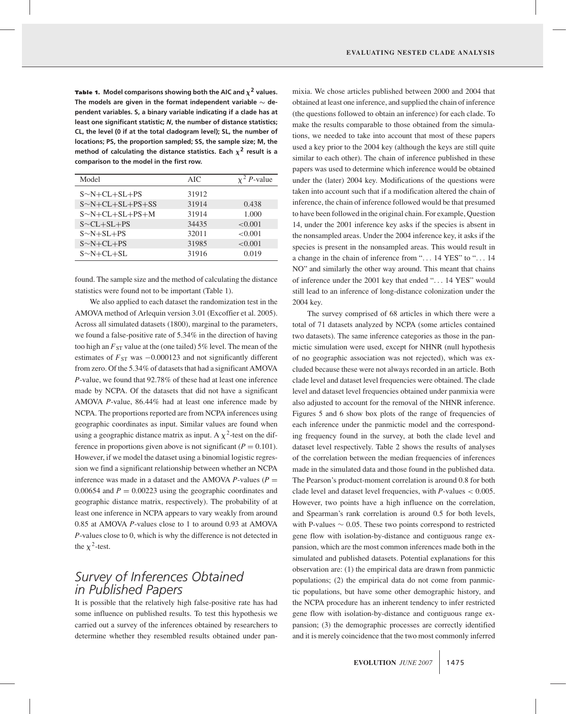**Table 1.** Model comparisons showing both the AIC and  $\chi^2$  values. **The models are given in the format independent variable** ∼ **dependent variables. S, a binary variable indicating if a clade has at least one significant statistic;** *N***, the number of distance statistics; CL, the level (0 if at the total cladogram level); SL, the number of locations; PS, the proportion sampled; SS, the sample size; M, the method** of calculating the distance statistics. Each  $\chi^2$  result is a **comparison to the model in the first row.**

| Model                          | AIC   | $\chi^2$ <i>P</i> -value |
|--------------------------------|-------|--------------------------|
| $S \sim N + CL + SL + PS$      | 31912 |                          |
| $S \sim N + CL + SL + PS + SS$ | 31914 | 0.438                    |
| $S \sim N + CL + SL + PS + M$  | 31914 | 1.000                    |
| $S \sim CL + SL + PS$          | 34435 | ${<}0.001$               |
| $S \sim N + SL + PS$           | 32011 | < 0.001                  |
| $S \sim N + CL + PS$           | 31985 | < 0.001                  |
| $S \sim N + CL + SL$           | 31916 | 0.019                    |

found. The sample size and the method of calculating the distance statistics were found not to be important (Table 1).

We also applied to each dataset the randomization test in the AMOVA method of Arlequin version 3.01 (Excoffier et al. 2005). Across all simulated datasets (1800), marginal to the parameters, we found a false-positive rate of 5.34% in the direction of having too high an  $F_{ST}$  value at the (one tailed) 5% level. The mean of the estimates of  $F_{ST}$  was  $-0.000123$  and not significantly different from zero. Of the 5.34% of datasets that had a significant AMOVA *P*-value, we found that 92.78% of these had at least one inference made by NCPA. Of the datasets that did not have a significant AMOVA *P*-value, 86.44% had at least one inference made by NCPA. The proportions reported are from NCPA inferences using geographic coordinates as input. Similar values are found when using a geographic distance matrix as input. A  $\chi^2$ -test on the difference in proportions given above is not significant ( $P = 0.101$ ). However, if we model the dataset using a binomial logistic regression we find a significant relationship between whether an NCPA inference was made in a dataset and the AMOVA  $P$ -values ( $P =$ 0.00654 and  $P = 0.00223$  using the geographic coordinates and geographic distance matrix, respectively). The probability of at least one inference in NCPA appears to vary weakly from around 0.85 at AMOVA *P*-values close to 1 to around 0.93 at AMOVA *P*-values close to 0, which is why the difference is not detected in the  $\chi^2$ -test.

# *Survey of Inferences Obtained in Published Papers*

It is possible that the relatively high false-positive rate has had some influence on published results. To test this hypothesis we carried out a survey of the inferences obtained by researchers to determine whether they resembled results obtained under panmixia. We chose articles published between 2000 and 2004 that obtained at least one inference, and supplied the chain of inference (the questions followed to obtain an inference) for each clade. To make the results comparable to those obtained from the simulations, we needed to take into account that most of these papers used a key prior to the 2004 key (although the keys are still quite similar to each other). The chain of inference published in these papers was used to determine which inference would be obtained under the (later) 2004 key. Modifications of the questions were taken into account such that if a modification altered the chain of inference, the chain of inference followed would be that presumed to have been followed in the original chain. For example, Question 14, under the 2001 inference key asks if the species is absent in the nonsampled areas. Under the 2004 inference key, it asks if the species is present in the nonsampled areas. This would result in a change in the chain of inference from "... 14 YES" to "... 14 NO" and similarly the other way around. This meant that chains of inference under the 2001 key that ended ". . . 14 YES" would still lead to an inference of long-distance colonization under the 2004 key.

The survey comprised of 68 articles in which there were a total of 71 datasets analyzed by NCPA (some articles contained two datasets). The same inference categories as those in the panmictic simulation were used, except for NHNR (null hypothesis of no geographic association was not rejected), which was excluded because these were not always recorded in an article. Both clade level and dataset level frequencies were obtained. The clade level and dataset level frequencies obtained under panmixia were also adjusted to account for the removal of the NHNR inference. Figures 5 and 6 show box plots of the range of frequencies of each inference under the panmictic model and the corresponding frequency found in the survey, at both the clade level and dataset level respectively. Table 2 shows the results of analyses of the correlation between the median frequencies of inferences made in the simulated data and those found in the published data. The Pearson's product-moment correlation is around 0.8 for both clade level and dataset level frequencies, with *P*-values < 0.005. However, two points have a high influence on the correlation, and Spearman's rank correlation is around 0.5 for both levels, with P-values ∼ 0.05. These two points correspond to restricted gene flow with isolation-by-distance and contiguous range expansion, which are the most common inferences made both in the simulated and published datasets. Potential explanations for this observation are: (1) the empirical data are drawn from panmictic populations; (2) the empirical data do not come from panmictic populations, but have some other demographic history, and the NCPA procedure has an inherent tendency to infer restricted gene flow with isolation-by-distance and contiguous range expansion; (3) the demographic processes are correctly identified and it is merely coincidence that the two most commonly inferred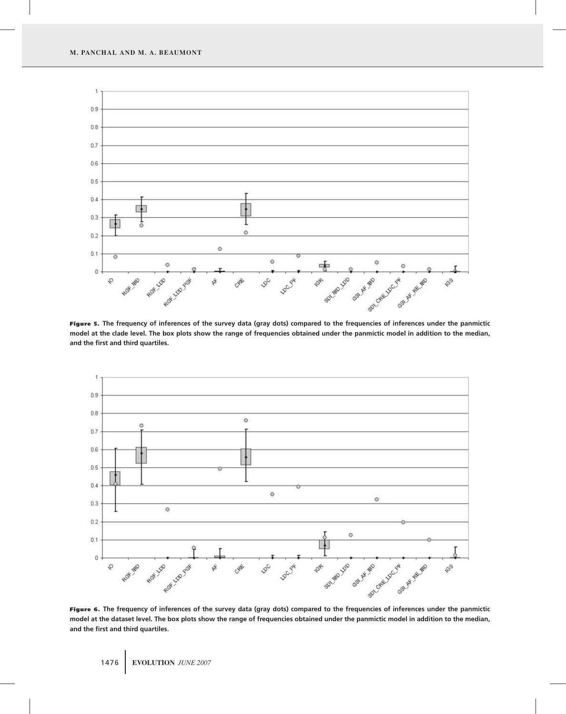

Figure 5. The frequency of inferences of the survey data (gray dots) compared to the frequencies of inferences under the panmictic model at the clade level. The box plots show the range of frequencies obtained under the panmictic model in addition to the median, **and the first and third quartiles.**



Figure 6. The frequency of inferences of the survey data (gray dots) compared to the frequencies of inferences under the panmictic model at the dataset level. The box plots show the range of frequencies obtained under the panmictic model in addition to the median, **and the first and third quartiles.**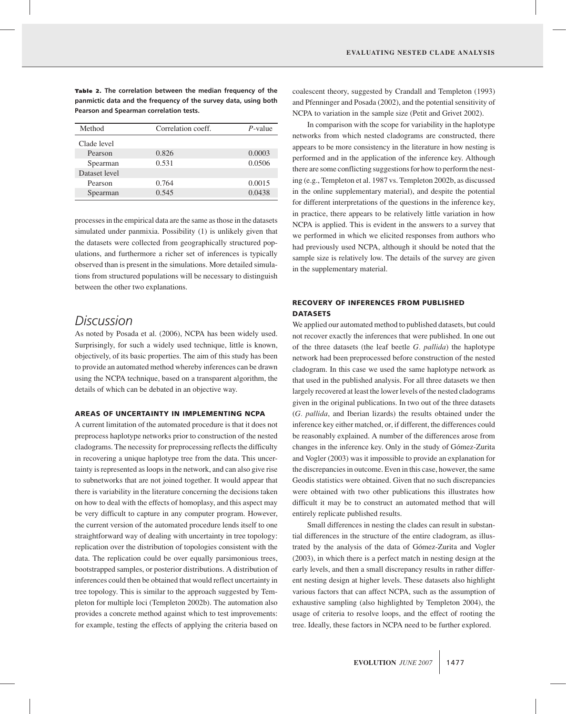Table 2. **The correlation between the median frequency of the panmictic data and the frequency of the survey data, using both Pearson and Spearman correlation tests.**

| Method        | Correlation coeff. | $P$ -value |
|---------------|--------------------|------------|
| Clade level   |                    |            |
| Pearson       | 0.826              | 0.0003     |
| Spearman      | 0.531              | 0.0506     |
| Dataset level |                    |            |
| Pearson       | 0.764              | 0.0015     |
| Spearman      | 0.545              | 0.0438     |

processesin the empirical data are the same asthose in the datasets simulated under panmixia. Possibility (1) is unlikely given that the datasets were collected from geographically structured populations, and furthermore a richer set of inferences is typically observed than is present in the simulations. More detailed simulations from structured populations will be necessary to distinguish between the other two explanations.

### *Discussion*

As noted by Posada et al. (2006), NCPA has been widely used. Surprisingly, for such a widely used technique, little is known, objectively, of its basic properties. The aim of this study has been to provide an automated method whereby inferences can be drawn using the NCPA technique, based on a transparent algorithm, the details of which can be debated in an objective way.

### AREAS OF UNCERTAINTY IN IMPLEMENTING NCPA

A current limitation of the automated procedure is that it does not preprocess haplotype networks prior to construction of the nested cladograms. The necessity for preprocessing reflects the difficulty in recovering a unique haplotype tree from the data. This uncertainty is represented as loops in the network, and can also give rise to subnetworks that are not joined together. It would appear that there is variability in the literature concerning the decisions taken on how to deal with the effects of homoplasy, and this aspect may be very difficult to capture in any computer program. However, the current version of the automated procedure lends itself to one straightforward way of dealing with uncertainty in tree topology: replication over the distribution of topologies consistent with the data. The replication could be over equally parsimonious trees, bootstrapped samples, or posterior distributions. A distribution of inferences could then be obtained that would reflect uncertainty in tree topology. This is similar to the approach suggested by Templeton for multiple loci (Templeton 2002b). The automation also provides a concrete method against which to test improvements: for example, testing the effects of applying the criteria based on

coalescent theory, suggested by Crandall and Templeton (1993) and Pfenninger and Posada (2002), and the potential sensitivity of NCPA to variation in the sample size (Petit and Grivet 2002).

In comparison with the scope for variability in the haplotype networks from which nested cladograms are constructed, there appears to be more consistency in the literature in how nesting is performed and in the application of the inference key. Although there are some conflicting suggestions for how to perform the nesting (e.g., Templeton et al. 1987 vs. Templeton 2002b, as discussed in the online supplementary material), and despite the potential for different interpretations of the questions in the inference key, in practice, there appears to be relatively little variation in how NCPA is applied. This is evident in the answers to a survey that we performed in which we elicited responses from authors who had previously used NCPA, although it should be noted that the sample size is relatively low. The details of the survey are given in the supplementary material.

### RECOVERY OF INFERENCES FROM PUBLISHED DATASETS

We applied our automated method to published datasets, but could not recover exactly the inferences that were published. In one out of the three datasets (the leaf beetle *G. pallida*) the haplotype network had been preprocessed before construction of the nested cladogram. In this case we used the same haplotype network as that used in the published analysis. For all three datasets we then largely recovered at least the lower levels of the nested cladograms given in the original publications. In two out of the three datasets (*G. pallida*, and Iberian lizards) the results obtained under the inference key either matched, or, if different, the differences could be reasonably explained. A number of the differences arose from changes in the inference key. Only in the study of Gómez-Zurita and Vogler (2003) was it impossible to provide an explanation for the discrepancies in outcome. Even in this case, however, the same Geodis statistics were obtained. Given that no such discrepancies were obtained with two other publications this illustrates how difficult it may be to construct an automated method that will entirely replicate published results.

Small differences in nesting the clades can result in substantial differences in the structure of the entire cladogram, as illustrated by the analysis of the data of Gómez-Zurita and Vogler (2003), in which there is a perfect match in nesting design at the early levels, and then a small discrepancy results in rather different nesting design at higher levels. These datasets also highlight various factors that can affect NCPA, such as the assumption of exhaustive sampling (also highlighted by Templeton 2004), the usage of criteria to resolve loops, and the effect of rooting the tree. Ideally, these factors in NCPA need to be further explored.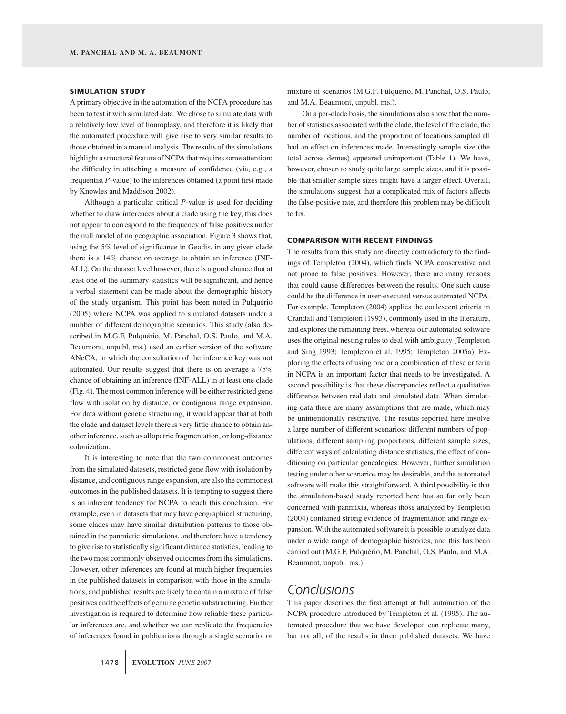### SIMULATION STUDY

A primary objective in the automation of the NCPA procedure has been to test it with simulated data. We chose to simulate data with a relatively low level of homoplasy, and therefore it is likely that the automated procedure will give rise to very similar results to those obtained in a manual analysis. The results of the simulations highlight a structural feature of NCPA that requires some attention: the difficulty in attaching a measure of confidence (via, e.g., a frequentist *P*-value) to the inferences obtained (a point first made by Knowles and Maddison 2002).

Although a particular critical *P*-value is used for deciding whether to draw inferences about a clade using the key, this does not appear to correspond to the frequency of false positives under the null model of no geographic association. Figure 3 shows that, using the 5% level of significance in Geodis, in any given clade there is a 14% chance on average to obtain an inference (INF-ALL). On the dataset level however, there is a good chance that at least one of the summary statistics will be significant, and hence a verbal statement can be made about the demographic history of the study organism. This point has been noted in Pulquério (2005) where NCPA was applied to simulated datasets under a number of different demographic scenarios. This study (also described in M.G.F. Pulquério, M. Panchal, O.S. Paulo, and M.A. Beaumont, unpubl. ms.) used an earlier version of the software ANeCA, in which the consultation of the inference key was not automated. Our results suggest that there is on average a 75% chance of obtaining an inference (INF-ALL) in at least one clade (Fig. 4). The most common inference will be either restricted gene flow with isolation by distance, or contiguous range expansion. For data without genetic structuring, it would appear that at both the clade and dataset levels there is very little chance to obtain another inference, such as allopatric fragmentation, or long-distance colonization.

It is interesting to note that the two commonest outcomes from the simulated datasets, restricted gene flow with isolation by distance, and contiguousrange expansion, are also the commonest outcomes in the published datasets. It is tempting to suggest there is an inherent tendency for NCPA to reach this conclusion. For example, even in datasets that may have geographical structuring, some clades may have similar distribution patterns to those obtained in the panmictic simulations, and therefore have a tendency to give rise to statistically significant distance statistics, leading to the two most commonly observed outcomes from the simulations. However, other inferences are found at much higher frequencies in the published datasets in comparison with those in the simulations, and published results are likely to contain a mixture of false positives and the effects of genuine genetic substructuring. Further investigation is required to determine how reliable these particular inferences are, and whether we can replicate the frequencies of inferences found in publications through a single scenario, or mixture of scenarios (M.G.F. Pulquério, M. Panchal, O.S. Paulo, and M.A. Beaumont, unpubl. ms.).

On a per-clade basis, the simulations also show that the number of statistics associated with the clade, the level of the clade, the number of locations, and the proportion of locations sampled all had an effect on inferences made. Interestingly sample size (the total across demes) appeared unimportant (Table 1). We have, however, chosen to study quite large sample sizes, and it is possible that smaller sample sizes might have a larger effect. Overall, the simulations suggest that a complicated mix of factors affects the false-positive rate, and therefore this problem may be difficult to fix.

### COMPARISON WITH RECENT FINDINGS

The results from this study are directly contradictory to the findings of Templeton (2004), which finds NCPA conservative and not prone to false positives. However, there are many reasons that could cause differences between the results. One such cause could be the difference in user-executed versus automated NCPA. For example, Templeton (2004) applies the coalescent criteria in Crandall and Templeton (1993), commonly used in the literature, and explores the remaining trees, whereas our automated software uses the original nesting rules to deal with ambiguity (Templeton and Sing 1993; Templeton et al. 1995; Templeton 2005a). Exploring the effects of using one or a combination of these criteria in NCPA is an important factor that needs to be investigated. A second possibility is that these discrepancies reflect a qualitative difference between real data and simulated data. When simulating data there are many assumptions that are made, which may be unintentionally restrictive. The results reported here involve a large number of different scenarios: different numbers of populations, different sampling proportions, different sample sizes, different ways of calculating distance statistics, the effect of conditioning on particular genealogies. However, further simulation testing under other scenarios may be desirable, and the automated software will make this straightforward. A third possibility is that the simulation-based study reported here has so far only been concerned with panmixia, whereas those analyzed by Templeton (2004) contained strong evidence of fragmentation and range expansion. With the automated software it is possible to analyze data under a wide range of demographic histories, and this has been carried out (M.G.F. Pulquério, M. Panchal, O.S. Paulo, and M.A. Beaumont, unpubl. ms.).

### *Conclusions*

This paper describes the first attempt at full automation of the NCPA procedure introduced by Templeton et al. (1995). The automated procedure that we have developed can replicate many, but not all, of the results in three published datasets. We have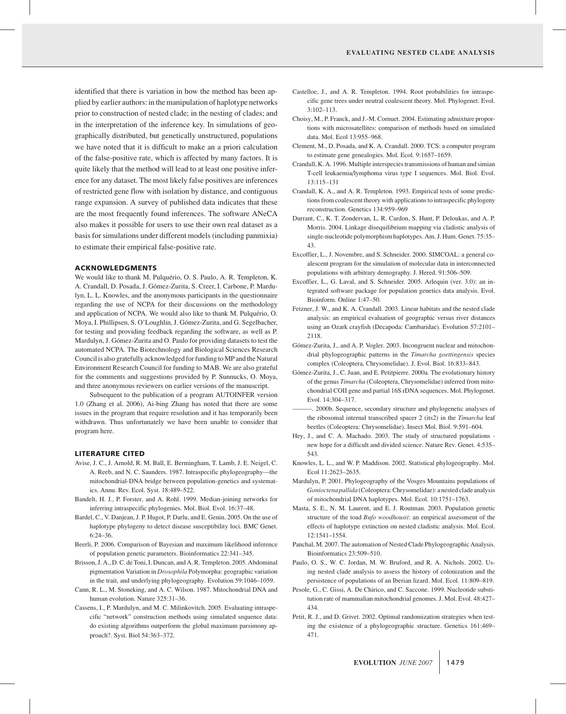identified that there is variation in how the method has been applied by earlier authors: in the manipulation of haplotype networks prior to construction of nested clade; in the nesting of clades; and in the interpretation of the inference key. In simulations of geographically distributed, but genetically unstructured, populations we have noted that it is difficult to make an a priori calculation of the false-positive rate, which is affected by many factors. It is quite likely that the method will lead to at least one positive inference for any dataset. The most likely false positives are inferences of restricted gene flow with isolation by distance, and contiguous

range expansion. A survey of published data indicates that these are the most frequently found inferences. The software ANeCA also makes it possible for users to use their own real dataset as a basis for simulations under different models (including panmixia) to estimate their empirical false-positive rate.

### ACKNOWLEDGMENTS

We would like to thank M. Pulquério, O. S. Paulo, A. R. Templeton, K. A. Crandall, D. Posada, J. Gómez-Zurita, S. Creer, I. Carbone, P. Mardulyn, L. L. Knowles, and the anonymous participants in the questionnaire regarding the use of NCPA for their discussions on the methodology and application of NCPA. We would also like to thank M. Pulquério, O. Moya, I. Phillipsen, S. O'Loughlin, J. Gómez-Zurita, and G. Segelbacher, for testing and providing feedback regarding the software, as well as P. Mardulyn, J. Gómez-Zurita and O. Paulo for providing datasets to test the automated NCPA. The Biotechnology and Biological Sciences Research Council is also gratefully acknowledged for funding to MP and the Natural Environment Research Council for funding to MAB. We are also grateful for the comments and suggestions provided by P. Sunnucks, O. Moya, and three anonymous reviewers on earlier versions of the manuscript.

Subsequent to the publication of a program AUTOINFER version 1.0 (Zhang et al. 2006), Ai-bing Zhang has noted that there are some issues in the program that require resolution and it has temporarily been withdrawn. Thus unfortunately we have been unable to consider that program here.

#### LITERATURE CITED

- Avise, J. C., J. Arnold, R. M. Ball, E. Bermingham, T. Lamb, J. E. Neigel, C. A. Reeb, and N. C. Saunders. 1987. Intraspecific phylogeography—the mitochondrial-DNA bridge between population-genetics and systematics. Annu. Rev. Ecol. Syst. 18:489–522.
- Bandelt, H. J., P. Forster, and A. Rohl. 1999. Median-joining networks for inferring intraspecific phylogenies. Mol. Biol. Evol. 16:37–48.
- Bardel, C., V. Danjean, J. P. Hugot, P. Darlu, and E. Genin. 2005. On the use of haplotype phylogeny to detect disease susceptibility loci. BMC Genet. 6:24–36.
- Beerli, P. 2006. Comparison of Bayesian and maximum likelihood inference of population genetic parameters. Bioinformatics 22:341–345.
- Brisson,J. A., D.C. de Toni,I. Duncan, and A.R. Templeton. 2005. Abdominal pigmentation Variation in *Drosophila* Polymorpha: geographic variation in the trait, and underlying phylogeography. Evolution 59:1046–1059.
- Cann, R. L., M. Stoneking, and A. C. Wilson. 1987. Mitochondrial DNA and human evolution. Nature 325:31–36.
- Cassens, I., P. Mardulyn, and M. C. Milinkovitch. 2005. Evaluating intraspecific "network" construction methods using simulated sequence data: do existing algorithms outperform the global maximum parsimony approach?. Syst. Biol 54:363–372.
- Castelloe, J., and A. R. Templeton. 1994. Root probabilities for intraspecific gene trees under neutral coalescent theory. Mol. Phylogenet. Evol. 3:102–113.
- Choisy, M., P. Franck, and J.-M. Cornuet. 2004. Estimating admixture proportions with microsatellites: comparison of methods based on simulated data. Mol. Ecol 13:955–968.
- Clement, M., D. Posada, and K. A. Crandall. 2000. TCS: a computer program to estimate gene genealogies. Mol. Ecol. 9:1657–1659.
- Crandall, K. A. 1996. Multiple interspeciestransmissions of human and simian T-cell leukaemia/lymphoma virus type I sequences. Mol. Biol. Evol. 13:115–131
- Crandall, K. A., and A. R. Templeton. 1993. Empirical tests of some predictions from coalescent theory with applications to intraspecific phylogeny reconstruction. Genetics 134:959–969
- Durrant, C., K. T. Zondervan, L. R. Cardon, S. Hunt, P. Deloukas, and A. P. Morris. 2004. Linkage disequilibrium mapping via cladistic analysis of single-nucleotide polymorphism haplotypes. Am.J. Hum. Genet. 75:35– 43.
- Excoffier, L., J. Novembre, and S. Schneider. 2000. SIMCOAL: a general coalescent program for the simulation of molecular data in interconnected populations with arbitrary demography. J. Hered. 91:506–509.
- Excoffier, L., G. Laval, and S. Schneider. 2005. Arlequin (ver. 3.0): an integrated software package for population genetics data analysis. Evol. Bioinform. Online 1:47–50.
- Fetzner, J. W., and K. A. Crandall. 2003. Linear habitats and the nested clade analysis: an empirical evaluation of geographic versus river distances using an Ozark crayfish (Decapoda: Cambaridae). Evolution 57:2101– 2118.
- Gómez-Zurita, J., and A. P. Vogler. 2003. Incongruent nuclear and mitochondrial phylogeographic patterns in the *Timarcha goettingensis* species complex (Coleoptera, Chrysomelidae). J. Evol. Biol. 16:833–843.
- Gómez-Zurita, J., C. Juan, and E. Petitpierre. 2000a. The evolutionary history of the genus *Timarcha* (Coleoptera, Chrysomelidae) inferred from mitochondrial COII gene and partial 16S rDNA sequences. Mol. Phylogenet. Evol. 14:304–317.
- 2000b. Sequence, secondary structure and phylogenetic analyses of the ribosomal internal transcribed spacer 2 (its2) in the *Timarcha* leaf beetles (Coleoptera: Chrysomelidae). Insect Mol. Biol. 9:591–604.
- Hey, J., and C. A. Machado. 2003. The study of structured populations new hope for a difficult and divided science. Nature Rev. Genet. 4:535– 543.
- Knowles, L. L., and W. P. Maddison. 2002. Statistical phylogeography. Mol. Ecol 11:2623–2635.
- Mardulyn, P. 2001. Phylogeography of the Vosges Mountains populations of *Gonioctena pallida* (Coleoptera:Chrysomelidae): a nested clade analysis of mitochondrial DNA haplotypes. Mol. Ecol. 10:1751–1763.
- Masta, S. E., N. M. Laurent, and E. J. Routman. 2003. Population genetic structure of the toad *Bufo woodhousii*: an empirical assessment of the effects of haplotype extinction on nested cladistic analysis. Mol. Ecol. 12:1541–1554.
- Panchal, M. 2007. The automation of Nested Clade Phylogeographic Analysis. Bioinformatics 23:509–510.
- Paulo, O. S., W. C. Jordan, M. W. Bruford, and R. A. Nichols. 2002. Using nested clade analysis to assess the history of colonization and the persistence of populations of an Iberian lizard. Mol. Ecol. 11:809–819.
- Pesole, G., C. Gissi, A. De Chirico, and C. Saccone. 1999. Nucleotide substitution rate of mammalian mitochondrial genomes.J. Mol. Evol. 48:427– 434.
- Petit, R. J., and D. Grivet. 2002. Optimal randomization strategies when testing the existence of a phylogeographic structure. Genetics 161:469– 471.